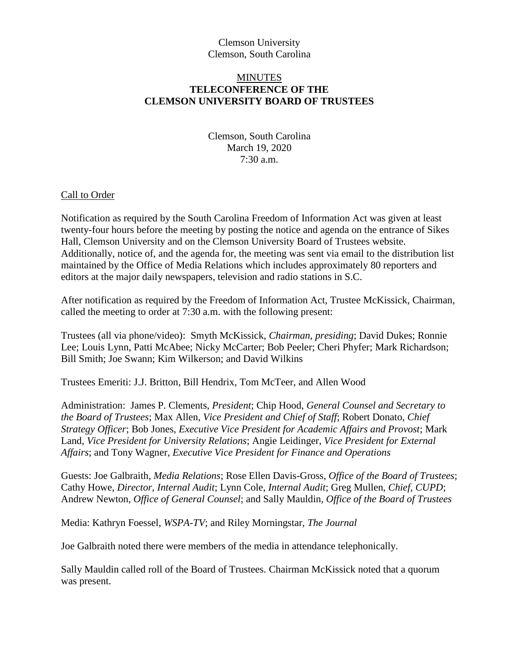# Clemson University Clemson, South Carolina

# **MINUTES TELECONFERENCE OF THE CLEMSON UNIVERSITY BOARD OF TRUSTEES**

Clemson, South Carolina March 19, 2020 7:30 a.m.

### Call to Order

Notification as required by the South Carolina Freedom of Information Act was given at least twenty-four hours before the meeting by posting the notice and agenda on the entrance of Sikes Hall, Clemson University and on the Clemson University Board of Trustees website. Additionally, notice of, and the agenda for, the meeting was sent via email to the distribution list maintained by the Office of Media Relations which includes approximately 80 reporters and editors at the major daily newspapers, television and radio stations in S.C.

After notification as required by the Freedom of Information Act, Trustee McKissick, Chairman, called the meeting to order at 7:30 a.m. with the following present:

Trustees (all via phone/video): Smyth McKissick, *Chairman, presiding*; David Dukes; Ronnie Lee; Louis Lynn, Patti McAbee; Nicky McCarter; Bob Peeler; Cheri Phyfer; Mark Richardson; Bill Smith; Joe Swann; Kim Wilkerson; and David Wilkins

Trustees Emeriti: J.J. Britton, Bill Hendrix, Tom McTeer, and Allen Wood

Administration: James P. Clements, *President*; Chip Hood, *General Counsel and Secretary to the Board of Trustees*; Max Allen, *Vice President and Chief of Staff*; Robert Donato, *Chief Strategy Officer*; Bob Jones, *Executive Vice President for Academic Affairs and Provost*; Mark Land, *Vice President for University Relations*; Angie Leidinger, *Vice President for External Affairs*; and Tony Wagner, *Executive Vice President for Finance and Operations*

Guests: Joe Galbraith, *Media Relations*; Rose Ellen Davis-Gross, *Office of the Board of Trustees*; Cathy Howe, *Director, Internal Audit*; Lynn Cole, *Internal Audit*; Greg Mullen, *Chief, CUPD*; Andrew Newton, *Office of General Counsel*; and Sally Mauldin, *Office of the Board of Trustees*

Media: Kathryn Foessel, *WSPA-TV*; and Riley Morningstar, *The Journal*

Joe Galbraith noted there were members of the media in attendance telephonically.

Sally Mauldin called roll of the Board of Trustees. Chairman McKissick noted that a quorum was present.